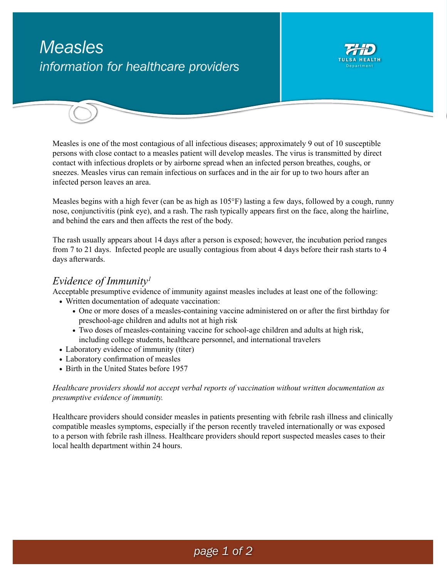# *Measles information for healthcare providers*



Measles is one of the most contagious of all infectious diseases; approximately 9 out of 10 susceptible persons with close contact to a measles patient will develop measles. The virus is transmitted by direct contact with infectious droplets or by airborne spread when an infected person breathes, coughs, or sneezes. Measles virus can remain infectious on surfaces and in the air for up to two hours after an infected person leaves an area.

Measles begins with a high fever (can be as high as 105°F) lasting a few days, followed by a cough, runny nose, conjunctivitis (pink eye), and a rash. The rash typically appears first on the face, along the hairline, and behind the ears and then affects the rest of the body.

The rash usually appears about 14 days after a person is exposed; however, the incubation period ranges from 7 to 21 days. Infected people are usually contagious from about 4 days before their rash starts to 4 days afterwards.

## *Evidence of Immunity1*

Acceptable presumptive evidence of immunity against measles includes at least one of the following: • Written documentation of adequate vaccination:

- One or more doses of a measles-containing vaccine administered on or after the first birthday for preschool-age children and adults not at high risk
- Two doses of measles-containing vaccine for school-age children and adults at high risk, including college students, healthcare personnel, and international travelers
- Laboratory evidence of immunity (titer)
- • Laboratory confirmation of measles
- Birth in the United States before 1957

#### *Healthcare providers should not accept verbal reports of vaccination without written documentation as presumptive evidence of immunity.*

Healthcare providers should consider measles in patients presenting with febrile rash illness and clinically compatible measles symptoms, especially if the person recently traveled internationally or was exposed to a person with febrile rash illness. Healthcare providers should report suspected measles cases to their local health department within 24 hours.